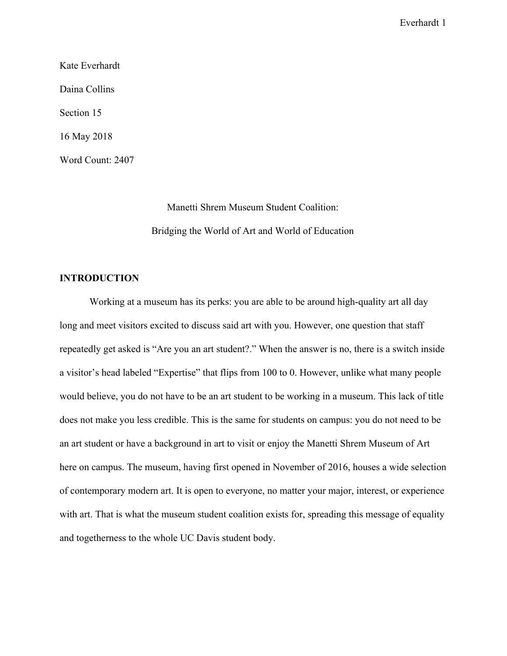Kate Everhardt Daina Collins Section 15 16 May 2018 Word Count: 2407

> Manetti Shrem Museum Student Coalition: Bridging the World of Art and World of Education

# **INTRODUCTION**

Working at a museum has its perks: you are able to be around high-quality art all day long and meet visitors excited to discuss said art with you. However, one question that staff repeatedly get asked is "Are you an art student?." When the answer is no, there is a switch inside a visitor's head labeled "Expertise" that flips from 100 to 0. However, unlike what many people would believe, you do not have to be an art student to be working in a museum. This lack of title does not make you less credible. This is the same for students on campus: you do not need to be an art student or have a background in art to visit or enjoy the Manetti Shrem Museum of Art here on campus. The museum, having first opened in November of 2016, houses a wide selection of contemporary modern art. It is open to everyone, no matter your major, interest, or experience with art. That is what the museum student coalition exists for, spreading this message of equality and togetherness to the whole UC Davis student body.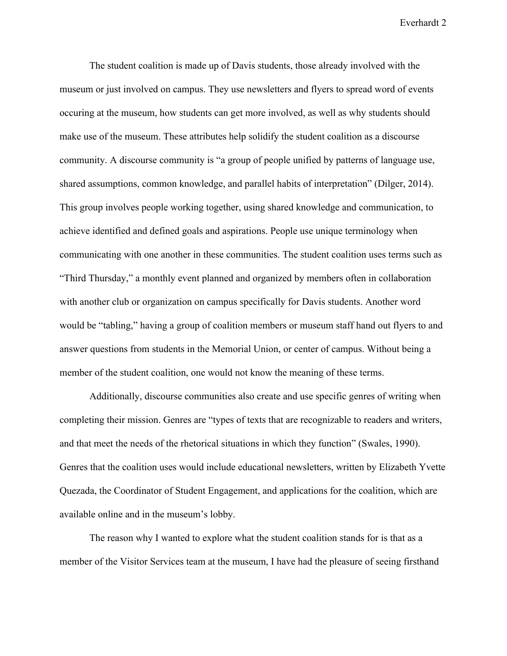The student coalition is made up of Davis students, those already involved with the museum or just involved on campus. They use newsletters and flyers to spread word of events occuring at the museum, how students can get more involved, as well as why students should make use of the museum. These attributes help solidify the student coalition as a discourse community. A discourse community is "a group of people unified by patterns of language use, shared assumptions, common knowledge, and parallel habits of interpretation" (Dilger, 2014). This group involves people working together, using shared knowledge and communication, to achieve identified and defined goals and aspirations. People use unique terminology when communicating with one another in these communities. The student coalition uses terms such as "Third Thursday," a monthly event planned and organized by members often in collaboration with another club or organization on campus specifically for Davis students. Another word would be "tabling," having a group of coalition members or museum staff hand out flyers to and answer questions from students in the Memorial Union, or center of campus. Without being a member of the student coalition, one would not know the meaning of these terms.

Additionally, discourse communities also create and use specific genres of writing when completing their mission. Genres are "types of texts that are recognizable to readers and writers, and that meet the needs of the rhetorical situations in which they function" (Swales, 1990). Genres that the coalition uses would include educational newsletters, written by Elizabeth Yvette Quezada, the Coordinator of Student Engagement, and applications for the coalition, which are available online and in the museum's lobby.

The reason why I wanted to explore what the student coalition stands for is that as a member of the Visitor Services team at the museum, I have had the pleasure of seeing firsthand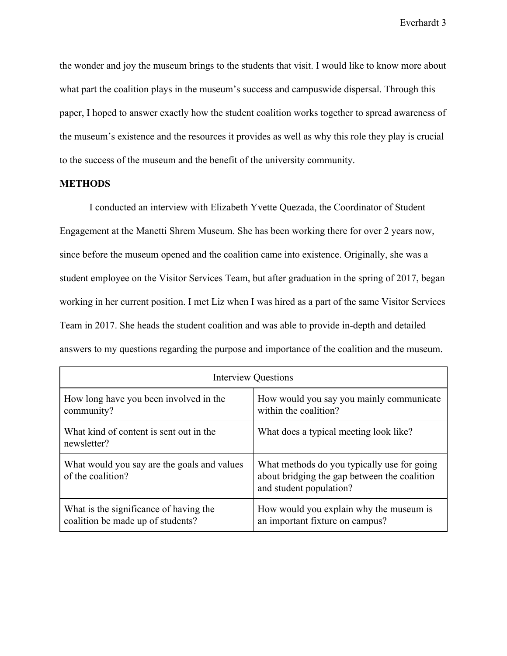the wonder and joy the museum brings to the students that visit. I would like to know more about what part the coalition plays in the museum's success and campuswide dispersal. Through this paper, I hoped to answer exactly how the student coalition works together to spread awareness of the museum's existence and the resources it provides as well as why this role they play is crucial to the success of the museum and the benefit of the university community.

# **METHODS**

I conducted an interview with Elizabeth Yvette Quezada, the Coordinator of Student Engagement at the Manetti Shrem Museum. She has been working there for over 2 years now, since before the museum opened and the coalition came into existence. Originally, she was a student employee on the Visitor Services Team, but after graduation in the spring of 2017, began working in her current position. I met Liz when I was hired as a part of the same Visitor Services Team in 2017. She heads the student coalition and was able to provide in-depth and detailed answers to my questions regarding the purpose and importance of the coalition and the museum.

| <b>Interview Questions</b>                                                  |                                                                                                                        |
|-----------------------------------------------------------------------------|------------------------------------------------------------------------------------------------------------------------|
| How long have you been involved in the<br>community?                        | How would you say you mainly communicate<br>within the coalition?                                                      |
| What kind of content is sent out in the<br>newsletter?                      | What does a typical meeting look like?                                                                                 |
| What would you say are the goals and values<br>of the coalition?            | What methods do you typically use for going<br>about bridging the gap between the coalition<br>and student population? |
| What is the significance of having the<br>coalition be made up of students? | How would you explain why the museum is<br>an important fixture on campus?                                             |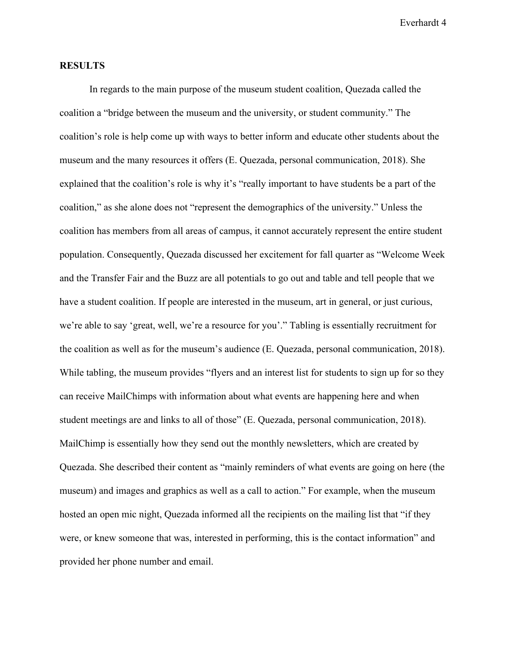### **RESULTS**

In regards to the main purpose of the museum student coalition, Quezada called the coalition a "bridge between the museum and the university, or student community." The coalition's role is help come up with ways to better inform and educate other students about the museum and the many resources it offers (E. Quezada, personal communication, 2018). She explained that the coalition's role is why it's "really important to have students be a part of the coalition," as she alone does not "represent the demographics of the university." Unless the coalition has members from all areas of campus, it cannot accurately represent the entire student population. Consequently, Quezada discussed her excitement for fall quarter as "Welcome Week and the Transfer Fair and the Buzz are all potentials to go out and table and tell people that we have a student coalition. If people are interested in the museum, art in general, or just curious, we're able to say 'great, well, we're a resource for you'." Tabling is essentially recruitment for the coalition as well as for the museum's audience (E. Quezada, personal communication, 2018). While tabling, the museum provides "flyers and an interest list for students to sign up for so they can receive MailChimps with information about what events are happening here and when student meetings are and links to all of those" (E. Quezada, personal communication, 2018). MailChimp is essentially how they send out the monthly newsletters, which are created by Quezada. She described their content as "mainly reminders of what events are going on here (the museum) and images and graphics as well as a call to action." For example, when the museum hosted an open mic night, Quezada informed all the recipients on the mailing list that "if they were, or knew someone that was, interested in performing, this is the contact information" and provided her phone number and email.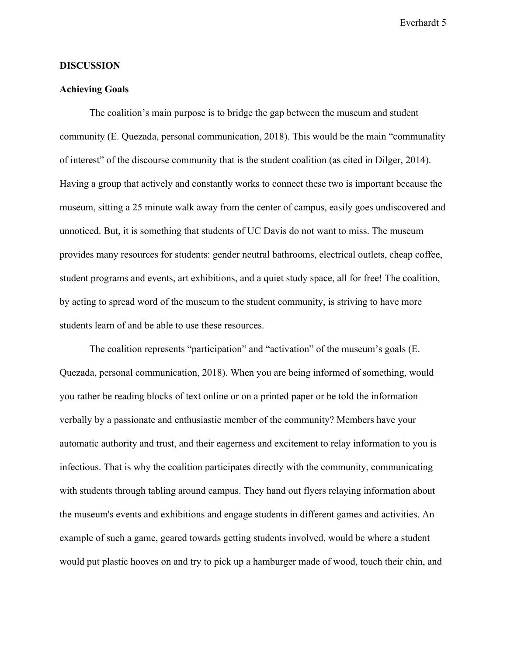#### **DISCUSSION**

#### **Achieving Goals**

The coalition's main purpose is to bridge the gap between the museum and student community (E. Quezada, personal communication, 2018). This would be the main "communality of interest" of the discourse community that is the student coalition (as cited in Dilger, 2014). Having a group that actively and constantly works to connect these two is important because the museum, sitting a 25 minute walk away from the center of campus, easily goes undiscovered and unnoticed. But, it is something that students of UC Davis do not want to miss. The museum provides many resources for students: gender neutral bathrooms, electrical outlets, cheap coffee, student programs and events, art exhibitions, and a quiet study space, all for free! The coalition, by acting to spread word of the museum to the student community, is striving to have more students learn of and be able to use these resources.

The coalition represents "participation" and "activation" of the museum's goals (E. Quezada, personal communication, 2018). When you are being informed of something, would you rather be reading blocks of text online or on a printed paper or be told the information verbally by a passionate and enthusiastic member of the community? Members have your automatic authority and trust, and their eagerness and excitement to relay information to you is infectious. That is why the coalition participates directly with the community, communicating with students through tabling around campus. They hand out flyers relaying information about the museum's events and exhibitions and engage students in different games and activities. An example of such a game, geared towards getting students involved, would be where a student would put plastic hooves on and try to pick up a hamburger made of wood, touch their chin, and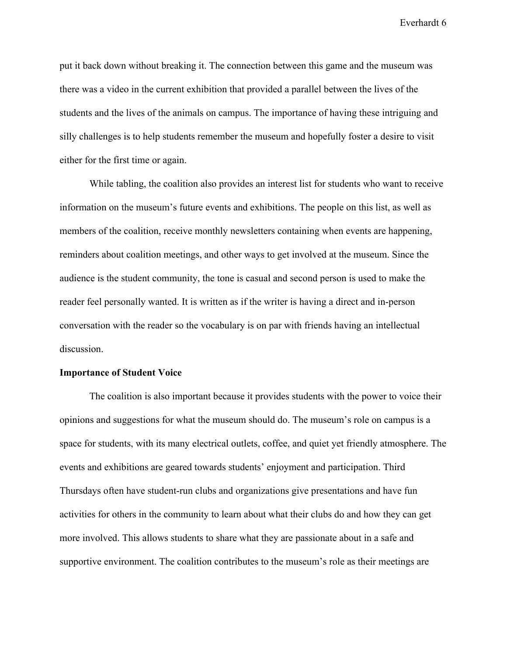put it back down without breaking it. The connection between this game and the museum was there was a video in the current exhibition that provided a parallel between the lives of the students and the lives of the animals on campus. The importance of having these intriguing and silly challenges is to help students remember the museum and hopefully foster a desire to visit either for the first time or again.

While tabling, the coalition also provides an interest list for students who want to receive information on the museum's future events and exhibitions. The people on this list, as well as members of the coalition, receive monthly newsletters containing when events are happening, reminders about coalition meetings, and other ways to get involved at the museum. Since the audience is the student community, the tone is casual and second person is used to make the reader feel personally wanted. It is written as if the writer is having a direct and in-person conversation with the reader so the vocabulary is on par with friends having an intellectual discussion.

#### **Importance of Student Voice**

The coalition is also important because it provides students with the power to voice their opinions and suggestions for what the museum should do. The museum's role on campus is a space for students, with its many electrical outlets, coffee, and quiet yet friendly atmosphere. The events and exhibitions are geared towards students' enjoyment and participation. Third Thursdays often have student-run clubs and organizations give presentations and have fun activities for others in the community to learn about what their clubs do and how they can get more involved. This allows students to share what they are passionate about in a safe and supportive environment. The coalition contributes to the museum's role as their meetings are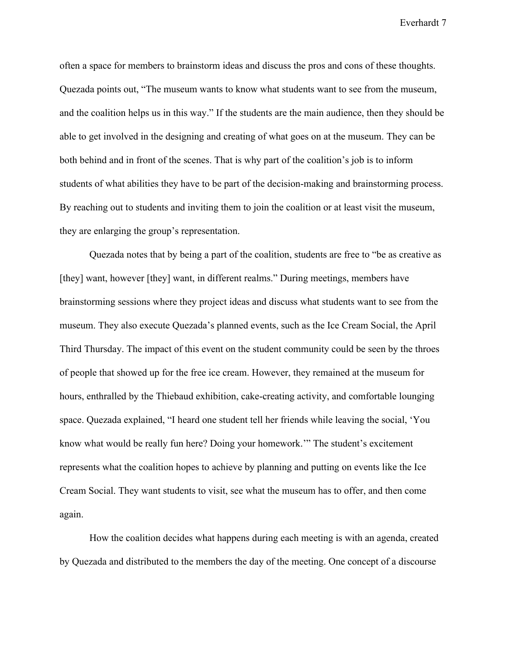often a space for members to brainstorm ideas and discuss the pros and cons of these thoughts. Quezada points out, "The museum wants to know what students want to see from the museum, and the coalition helps us in this way." If the students are the main audience, then they should be able to get involved in the designing and creating of what goes on at the museum. They can be both behind and in front of the scenes. That is why part of the coalition's job is to inform students of what abilities they have to be part of the decision-making and brainstorming process. By reaching out to students and inviting them to join the coalition or at least visit the museum, they are enlarging the group's representation.

Quezada notes that by being a part of the coalition, students are free to "be as creative as [they] want, however [they] want, in different realms." During meetings, members have brainstorming sessions where they project ideas and discuss what students want to see from the museum. They also execute Quezada's planned events, such as the Ice Cream Social, the April Third Thursday. The impact of this event on the student community could be seen by the throes of people that showed up for the free ice cream. However, they remained at the museum for hours, enthralled by the Thiebaud exhibition, cake-creating activity, and comfortable lounging space. Quezada explained, "I heard one student tell her friends while leaving the social, 'You know what would be really fun here? Doing your homework.'" The student's excitement represents what the coalition hopes to achieve by planning and putting on events like the Ice Cream Social. They want students to visit, see what the museum has to offer, and then come again.

How the coalition decides what happens during each meeting is with an agenda, created by Quezada and distributed to the members the day of the meeting. One concept of a discourse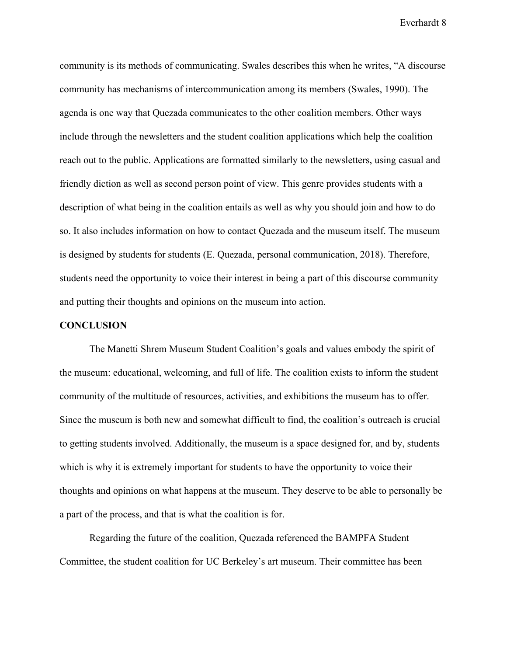community is its methods of communicating. Swales describes this when he writes, "A discourse community has mechanisms of intercommunication among its members (Swales, 1990). The agenda is one way that Quezada communicates to the other coalition members. Other ways include through the newsletters and the student coalition applications which help the coalition reach out to the public. Applications are formatted similarly to the newsletters, using casual and friendly diction as well as second person point of view. This genre provides students with a description of what being in the coalition entails as well as why you should join and how to do so. It also includes information on how to contact Quezada and the museum itself. The museum is designed by students for students (E. Quezada, personal communication, 2018). Therefore, students need the opportunity to voice their interest in being a part of this discourse community and putting their thoughts and opinions on the museum into action.

## **CONCLUSION**

The Manetti Shrem Museum Student Coalition's goals and values embody the spirit of the museum: educational, welcoming, and full of life. The coalition exists to inform the student community of the multitude of resources, activities, and exhibitions the museum has to offer. Since the museum is both new and somewhat difficult to find, the coalition's outreach is crucial to getting students involved. Additionally, the museum is a space designed for, and by, students which is why it is extremely important for students to have the opportunity to voice their thoughts and opinions on what happens at the museum. They deserve to be able to personally be a part of the process, and that is what the coalition is for.

Regarding the future of the coalition, Quezada referenced the BAMPFA Student Committee, the student coalition for UC Berkeley's art museum. Their committee has been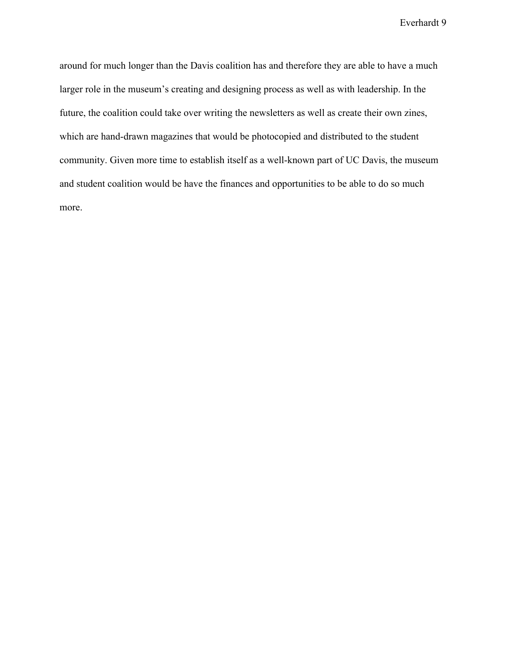around for much longer than the Davis coalition has and therefore they are able to have a much larger role in the museum's creating and designing process as well as with leadership. In the future, the coalition could take over writing the newsletters as well as create their own zines, which are hand-drawn magazines that would be photocopied and distributed to the student community. Given more time to establish itself as a well-known part of UC Davis, the museum and student coalition would be have the finances and opportunities to be able to do so much more.